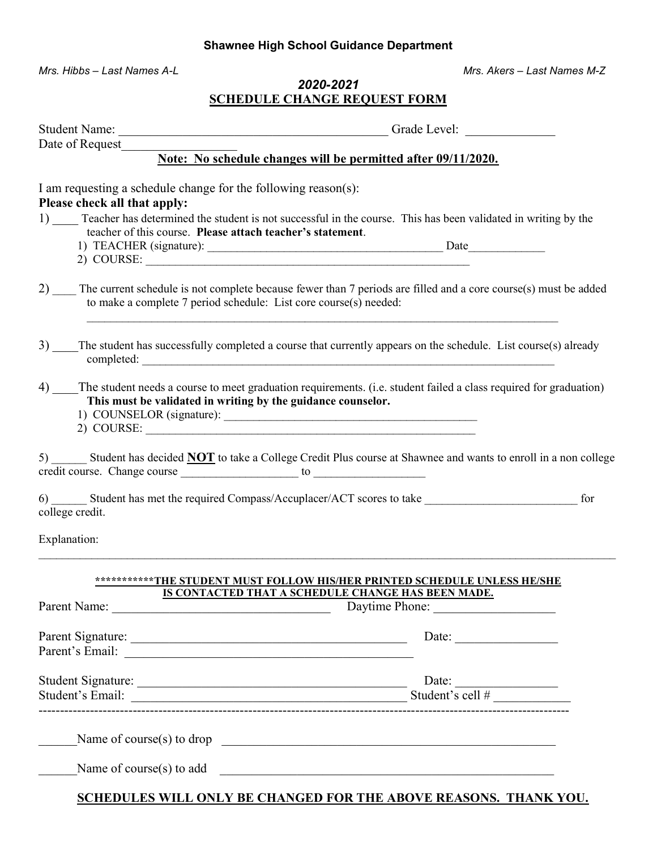#### Shawnee High School Guidance Department

Mrs. Hibbs – Last Names A-L **Mrs. Akers – Last Names M-Z** Mrs. Akers – Last Names M-Z

### 2020-2021 SCHEDULE CHANGE REQUEST FORM

| Note: No schedule changes will be permitted after 09/11/2020.                                                                                                |                                                                                                                                  |
|--------------------------------------------------------------------------------------------------------------------------------------------------------------|----------------------------------------------------------------------------------------------------------------------------------|
| I am requesting a schedule change for the following reason(s):<br>Please check all that apply:<br>teacher of this course. Please attach teacher's statement. | 1) Teacher has determined the student is not successful in the course. This has been validated in writing by the                 |
| to make a complete 7 period schedule: List core course(s) needed:                                                                                            | 2) The current schedule is not complete because fewer than 7 periods are filled and a core course(s) must be added               |
|                                                                                                                                                              | 3) The student has successfully completed a course that currently appears on the schedule. List course(s) already                |
| This must be validated in writing by the guidance counselor.<br>$2)$ COURSE: $\_\_$                                                                          | 4) The student needs a course to meet graduation requirements. (i.e. student failed a class required for graduation)             |
|                                                                                                                                                              | 5) ______ Student has decided <b>NOT</b> to take a College Credit Plus course at Shawnee and wants to enroll in a non college    |
| college credit.                                                                                                                                              | for                                                                                                                              |
| Explanation:                                                                                                                                                 |                                                                                                                                  |
|                                                                                                                                                              | ************THE STUDENT MUST FOLLOW HIS/HER PRINTED SCHEDULE UNLESS HE/SHE<br>IS CONTACTED THAT A SCHEDULE CHANGE HAS BEEN MADE. |
|                                                                                                                                                              | Daytime Phone:                                                                                                                   |
|                                                                                                                                                              | Date: $\qquad \qquad$                                                                                                            |
|                                                                                                                                                              | Date: $\qquad \qquad$                                                                                                            |
|                                                                                                                                                              | Name of course(s) to drop $\qquad \qquad$                                                                                        |
|                                                                                                                                                              | Name of course(s) to add                                                                                                         |

SCHEDULES WILL ONLY BE CHANGED FOR THE ABOVE REASONS. THANK YOU.